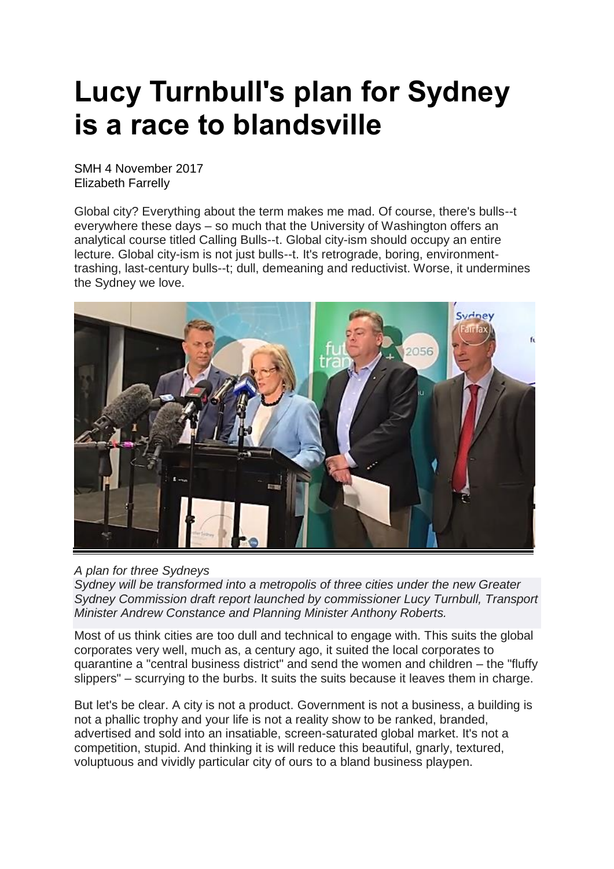## **Lucy Turnbull's plan for Sydney is a race to blandsville**

SMH 4 November 2017 Elizabeth Farrelly

Global city? Everything about the term makes me mad. Of course, there's bulls--t everywhere these days – so much that the University of Washington offers an analytical course titled Calling Bulls--t. Global city-ism should occupy an entire lecture. Global city-ism is not just bulls--t. It's retrograde, boring, environmenttrashing, last-century bulls--t; dull, demeaning and reductivist. Worse, it undermines the Sydney we love.



## *A plan for three Sydneys*

*Sydney will be transformed into a metropolis of three cities under the new Greater Sydney Commission draft report launched by commissioner Lucy Turnbull, Transport Minister Andrew Constance and Planning Minister Anthony Roberts.*

Most of us think cities are too dull and technical to engage with. This suits the global corporates very well, much as, a century ago, it suited the local corporates to quarantine a "central business district" and send the women and children – the "fluffy slippers" – scurrying to the burbs. It suits the suits because it leaves them in charge.

But let's be clear. A city is not a product. Government is not a business, a building is not a phallic trophy and your life is not a reality show to be ranked, branded, advertised and sold into an insatiable, screen-saturated global market. It's not a competition, stupid. And thinking it is will reduce this beautiful, gnarly, textured, voluptuous and vividly particular city of ours to a bland business playpen.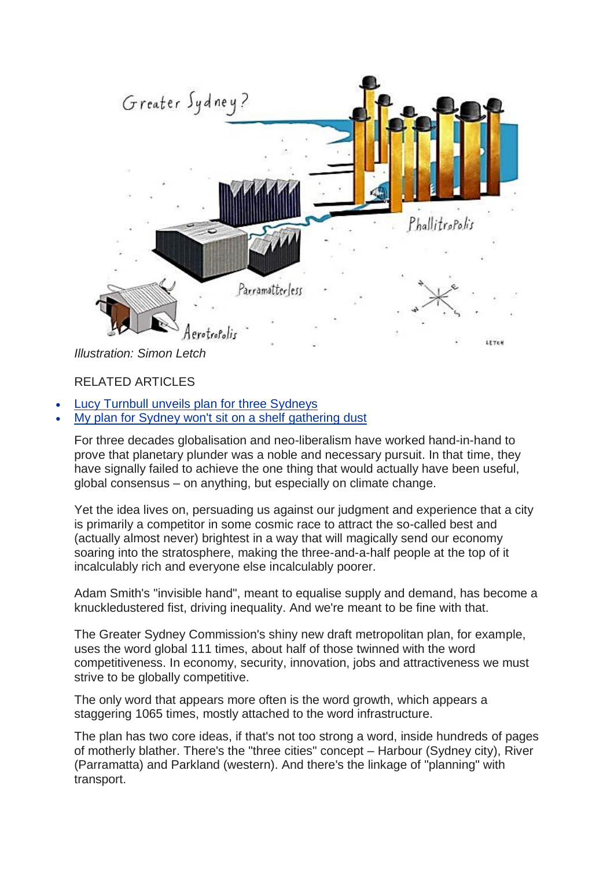

## RELATED ARTICLES

- Lucy Turnbull unveils plan for three [Sydneys](http://www.smh.com.au/nsw/lucy-turnbull-unveils-plan-for-three-sydneys-20171022-gz5un4.html)
- My plan for Sydney won't sit on a shelf [gathering](http://www.smh.com.au/comment/my-plan-for-sydney-in-2056-wont-sit-on-a-shelf-gathering-dust-20171023-gz6bop.html) dust

For three decades globalisation and neo-liberalism have worked hand-in-hand to prove that planetary plunder was a noble and necessary pursuit. In that time, they have signally failed to achieve the one thing that would actually have been useful, global consensus – on anything, but especially on climate change.

Yet the idea lives on, persuading us against our judgment and experience that a city is primarily a competitor in some cosmic race to attract the so-called best and (actually almost never) brightest in a way that will magically send our economy soaring into the stratosphere, making the three-and-a-half people at the top of it incalculably rich and everyone else incalculably poorer.

Adam Smith's "invisible hand", meant to equalise supply and demand, has become a knuckledustered fist, driving inequality. And we're meant to be fine with that.

The Greater Sydney Commission's shiny new draft metropolitan plan, for example, uses the word global 111 times, about half of those twinned with the word competitiveness. In economy, security, innovation, jobs and attractiveness we must strive to be globally competitive.

The only word that appears more often is the word growth, which appears a staggering 1065 times, mostly attached to the word infrastructure.

The plan has two core ideas, if that's not too strong a word, inside hundreds of pages of motherly blather. There's the "three cities" concept – Harbour (Sydney city), River (Parramatta) and Parkland (western). And there's the linkage of "planning" with transport.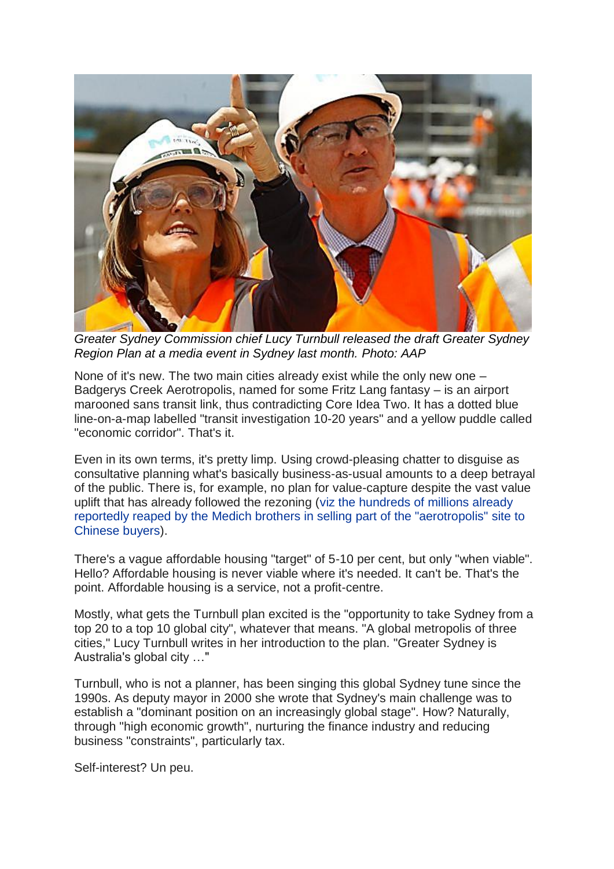

*Greater Sydney Commission chief Lucy Turnbull released the draft Greater Sydney Region Plan at a media event in Sydney last month. Photo: AAP*

None of it's new. The two main cities already exist while the only new one – Badgerys Creek Aerotropolis, named for some Fritz Lang fantasy – is an airport marooned sans transit link, thus contradicting Core Idea Two. It has a dotted blue line-on-a-map labelled "transit investigation 10-20 years" and a yellow puddle called "economic corridor". That's it.

Even in its own terms, it's pretty limp. Using crowd-pleasing chatter to disguise as consultative planning what's basically business-as-usual amounts to a deep betrayal of the public. There is, for example, no plan for value-capture despite the vast value uplift that has already followed the rezoning (viz the [hundreds](http://www.smh.com.au/nsw/massive-windfall-for-ron-and-roy-medich-on-sale-of-land-near-badgerys-creek-site-20170829-gy6owd.html) of millions already reportedly reaped by the Medich brothers in selling part of the ["aerotropolis"](http://www.smh.com.au/nsw/massive-windfall-for-ron-and-roy-medich-on-sale-of-land-near-badgerys-creek-site-20170829-gy6owd.html) site to [Chinese](http://www.smh.com.au/nsw/massive-windfall-for-ron-and-roy-medich-on-sale-of-land-near-badgerys-creek-site-20170829-gy6owd.html) buyers).

There's a vague affordable housing "target" of 5-10 per cent, but only "when viable". Hello? Affordable housing is never viable where it's needed. It can't be. That's the point. Affordable housing is a service, not a profit-centre.

Mostly, what gets the Turnbull plan excited is the "opportunity to take Sydney from a top 20 to a top 10 global city", whatever that means. "A global metropolis of three cities," Lucy Turnbull writes in her introduction to the plan. "Greater Sydney is Australia's global city …"

Turnbull, who is not a planner, has been singing this global Sydney tune since the 1990s. As deputy mayor in 2000 she wrote that Sydney's main challenge was to establish a "dominant position on an increasingly global stage". How? Naturally, through "high economic growth", nurturing the finance industry and reducing business "constraints", particularly tax.

Self-interest? Un peu.